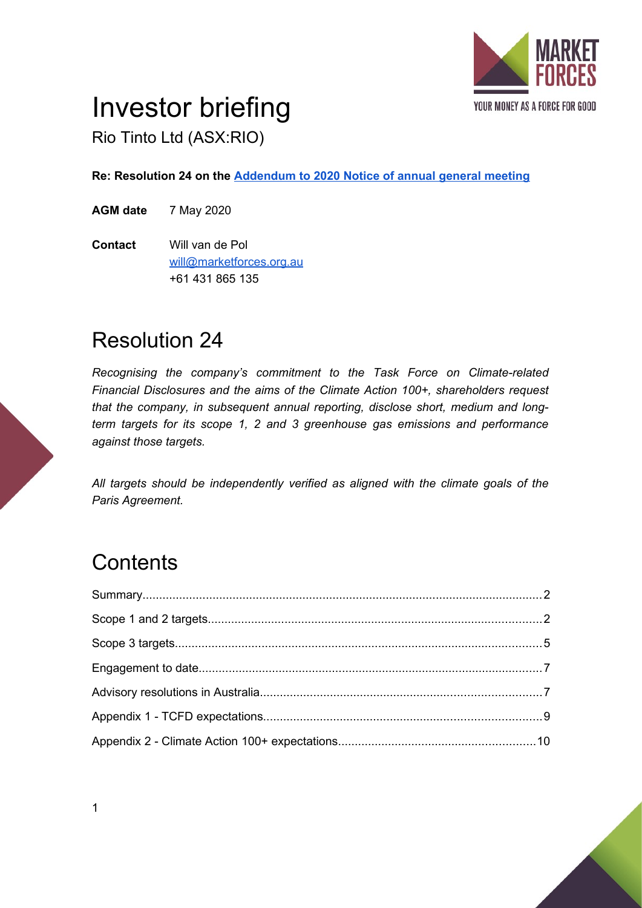

# Investor briefing

Rio Tinto Ltd (ASX:RIO)

**Re: Resolution 24 on the [Addendum to 2020 Notice of annual general meeting](https://www.asx.com.au/asxpdf/20200325/pdf/44gd90bznxp0g3.pdf)**

**AGM date** 7 May 2020

**Contact** Will van de Pol [will@marketforces.org.au](mailto:will@marketforces.org.au) +61 431 865 135

### Resolution 24

*Recognising the company's commitment to the Task Force on Climate-related Financial Disclosures and the aims of the Climate Action 100+, shareholders request that the company, in subsequent annual reporting, disclose short, medium and longterm targets for its scope 1, 2 and 3 greenhouse gas emissions and performance against those targets.*

*All targets should be independently verified as aligned with the climate goals of the Paris Agreement.*

## **Contents**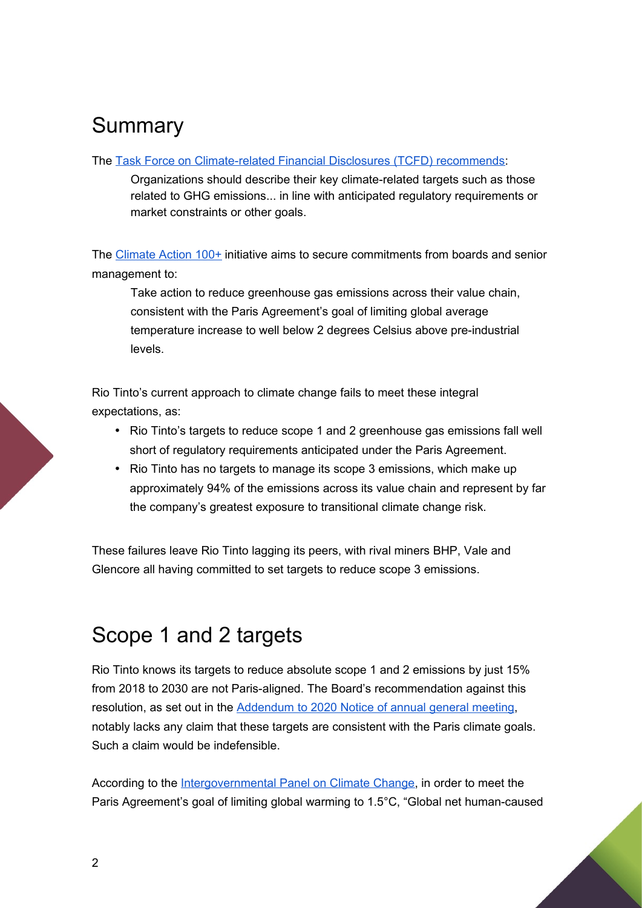### Summary

### The [Task Force on Climate-related Financial Disclosures \(TCFD\) recommends](https://www.fsb-tcfd.org/publications/final-recommendations-report/):

Organizations should describe their key climate-related targets such as those related to GHG emissions... in line with anticipated regulatory requirements or market constraints or other goals.

The [Climate Action 100+](https://climateaction100.wordpress.com/investors/) initiative aims to secure commitments from boards and senior management to:

Take action to reduce greenhouse gas emissions across their value chain, consistent with the Paris Agreement's goal of limiting global average temperature increase to well below 2 degrees Celsius above pre-industrial levels.

Rio Tinto's current approach to climate change fails to meet these integral expectations, as:

- Rio Tinto's targets to reduce scope 1 and 2 greenhouse gas emissions fall well short of regulatory requirements anticipated under the Paris Agreement.
- Rio Tinto has no targets to manage its scope 3 emissions, which make up approximately 94% of the emissions across its value chain and represent by far the company's greatest exposure to transitional climate change risk.

These failures leave Rio Tinto lagging its peers, with rival miners BHP, Vale and Glencore all having committed to set targets to reduce scope 3 emissions.

### <span id="page-1-0"></span>Scope 1 and 2 targets

Rio Tinto knows its targets to reduce absolute scope 1 and 2 emissions by just 15% from 2018 to 2030 are not Paris-aligned. The Board's recommendation against this resolution, as set out in the [Addendum to 2020 Notice of annual general meeting](https://www.asx.com.au/asxpdf/20200325/pdf/44gd90bznxp0g3.pdf), notably lacks any claim that these targets are consistent with the Paris climate goals. Such a claim would be indefensible.

According to the [Intergovernmental Panel on Climate Change,](https://www.ipcc.ch/2018/10/08/summary-for-policymakers-of-ipcc-special-report-on-global-warming-of-1-5c-approved-by-governments/) in order to meet the Paris Agreement's goal of limiting global warming to 1.5°C, "Global net human-caused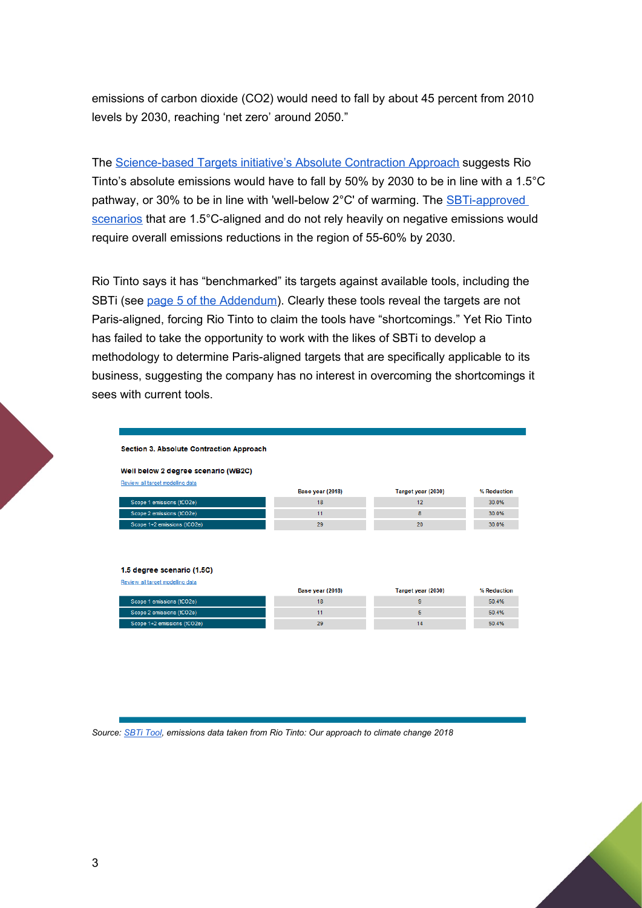emissions of carbon dioxide (CO2) would need to fall by about 45 percent from 2010 levels by 2030, reaching 'net zero' around 2050."

The [Science-based Targets initiative's Absolute Contraction Approach](https://sciencebasedtargets.org/resources/) suggests Rio Tinto's absolute emissions would have to fall by 50% by 2030 to be in line with a 1.5°C pathway, or 30% to be in line with 'well-below 2°C' of warming. The SBTi-approved [scenarios](https://sciencebasedtargets.org/wp-content/uploads/2019/04/foundations-of-SBT-setting.pdf) that are 1.5°C-aligned and do not rely heavily on negative emissions would require overall emissions reductions in the region of 55-60% by 2030.

Rio Tinto says it has "benchmarked" its targets against available tools, including the SBTi (see [page 5 of the Addendum](https://www.asx.com.au/asxpdf/20200325/pdf/44gd90bznxp0g3.pdf)). Clearly these tools reveal the targets are not Paris-aligned, forcing Rio Tinto to claim the tools have "shortcomings." Yet Rio Tinto has failed to take the opportunity to work with the likes of SBTi to develop a methodology to determine Paris-aligned targets that are specifically applicable to its business, suggesting the company has no interest in overcoming the shortcomings it sees with current tools.

#### Section 3. Absolute Contraction Approach

#### Well below 2 degree scenario (WB2C)

Review all target modelling data

|                             | Base year (2018) | Target year (2030) | % Reduction |
|-----------------------------|------------------|--------------------|-------------|
| Scope 1 emissions (tCO2e)   | 18               |                    | 30.0%       |
| Scope 2 emissions (tCO2e)   |                  |                    | 30.0%       |
| Scope 1+2 emissions (tCO2e) | 29               | 20                 | 30.0%       |
|                             |                  |                    |             |

#### 1.5 degree scenario (1.5C)

| Review all target modelling data |                  |                    |             |
|----------------------------------|------------------|--------------------|-------------|
|                                  | Base year (2018) | Target year (2030) | % Reduction |
| Scope 1 emissions (tCO2e)        | 18               |                    | 50.4%       |
| Scope 2 emissions (tCO2e)        |                  |                    | 50.4%       |
| Scope 1+2 emissions (tCO2e)      | 29               | 14                 | 50.4%       |

#### *Source: [SBTi Tool](https://sciencebasedtargets.org/sbti-tool/), emissions data taken from Rio Tinto: Our approach to climate change 2018*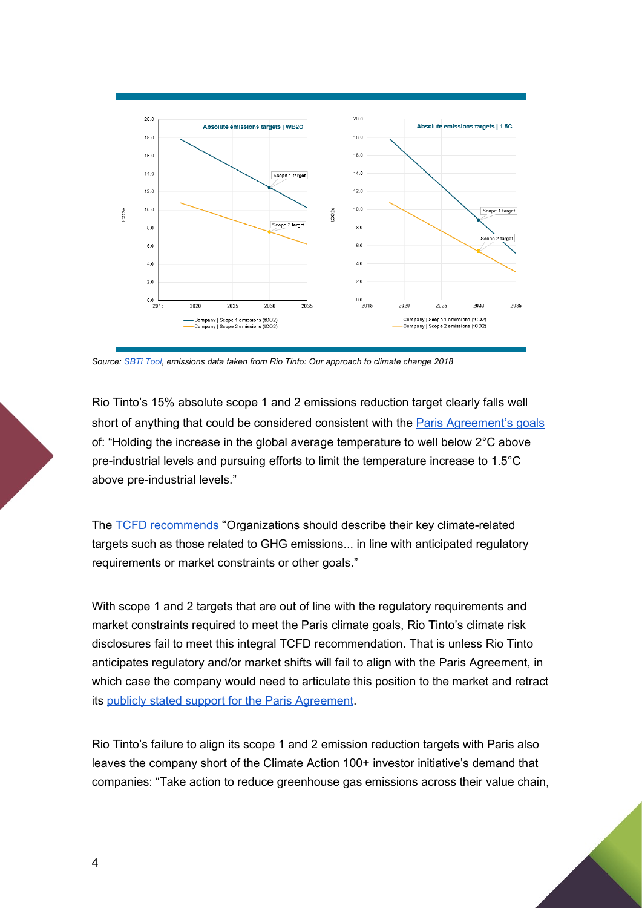

*Source: [SBTi Tool](https://sciencebasedtargets.org/sbti-tool/), emissions data taken from Rio Tinto: Our approach to climate change 2018*

Rio Tinto's 15% absolute scope 1 and 2 emissions reduction target clearly falls well short of anything that could be considered consistent with the [Paris Agreement's goals](https://unfccc.int/sites/default/files/english_paris_agreement.pdf) of: "Holding the increase in the global average temperature to well below 2°C above pre-industrial levels and pursuing efforts to limit the temperature increase to 1.5°C above pre-industrial levels."

The [TCFD recommends](https://www.fsb-tcfd.org/publications/final-recommendations-report/) "Organizations should describe their key climate-related targets such as those related to GHG emissions... in line with anticipated regulatory requirements or market constraints or other goals."

With scope 1 and 2 targets that are out of line with the regulatory requirements and market constraints required to meet the Paris climate goals, Rio Tinto's climate risk disclosures fail to meet this integral TCFD recommendation. That is unless Rio Tinto anticipates regulatory and/or market shifts will fail to align with the Paris Agreement, in which case the company would need to articulate this position to the market and retract its [publicly stated support for the Paris Agreement.](https://www.riotinto.com/en/sustainability/climate-change)

Rio Tinto's failure to align its scope 1 and 2 emission reduction targets with Paris also leaves the company short of the Climate Action 100+ investor initiative's demand that companies: "Take action to reduce greenhouse gas emissions across their value chain,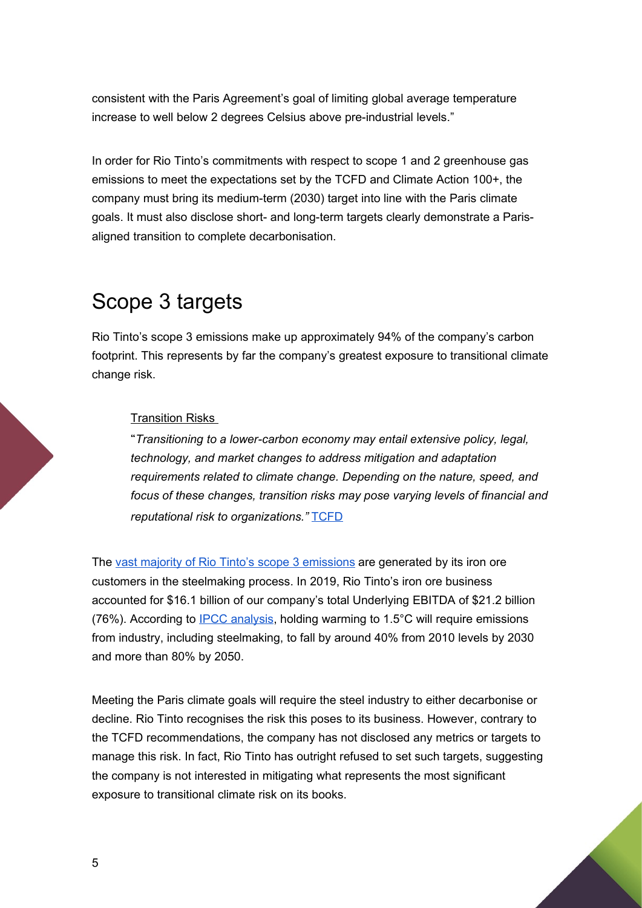consistent with the Paris Agreement's goal of limiting global average temperature increase to well below 2 degrees Celsius above pre-industrial levels."

In order for Rio Tinto's commitments with respect to scope 1 and 2 greenhouse gas emissions to meet the expectations set by the TCFD and Climate Action 100+, the company must bring its medium-term (2030) target into line with the Paris climate goals. It must also disclose short- and long-term targets clearly demonstrate a Parisaligned transition to complete decarbonisation.

## <span id="page-4-0"></span>Scope 3 targets

Rio Tinto's scope 3 emissions make up [approximately 94%](https://www.riotinto.com/en/sustainability/climate-change) of the company's carbon footprint. This represents by far the company's greatest exposure to transitional climate change risk.

### **Transition Risks**

"*Transitioning to a lower-carbon economy may entail extensive policy, legal, technology, and market changes to address mitigation and adaptation requirements related to climate change. Depending on the nature, speed, and focus of these changes, transition risks may pose varying levels of financial and reputational risk to organizations."* [TCFD](https://www.fsb-tcfd.org/wp-content/uploads/2017/06/FINAL-2017-TCFD-Report-11052018.pdf)

The [vast majority of Rio Tinto's scope 3 emissions](https://www.riotinto.com/en/sustainability/climate-change) are generated by its iron ore customers in the steelmaking process. In 2019, Rio Tinto's iron ore business [accounted](https://www.riotinto.com/en/invest/reports/annual-report) for \$16.1 billion of our company's total Underlying EBITDA of \$21.2 billion (76%). According to [IPCC analysis,](https://www.ipcc.ch/2018/10/08/summary-for-policymakers-of-ipcc-special-report-on-global-warming-of-1-5c-approved-by-governments/) holding warming to 1.5°C will require emissions from industry, including steelmaking, to fall by around 40% from 2010 levels by 2030 and more than 80% by 2050.

Meeting the Paris climate goals will require the steel industry to either decarbonise or decline. Rio Tinto recognises the risk this poses to its business. However, contrary to the TCFD recommendations, the company has not disclosed any metrics or targets to manage this risk. In fact, Rio Tinto has outright refused to set such targets, suggesting the company is not interested in mitigating what represents the most significant exposure to transitional climate risk on its books.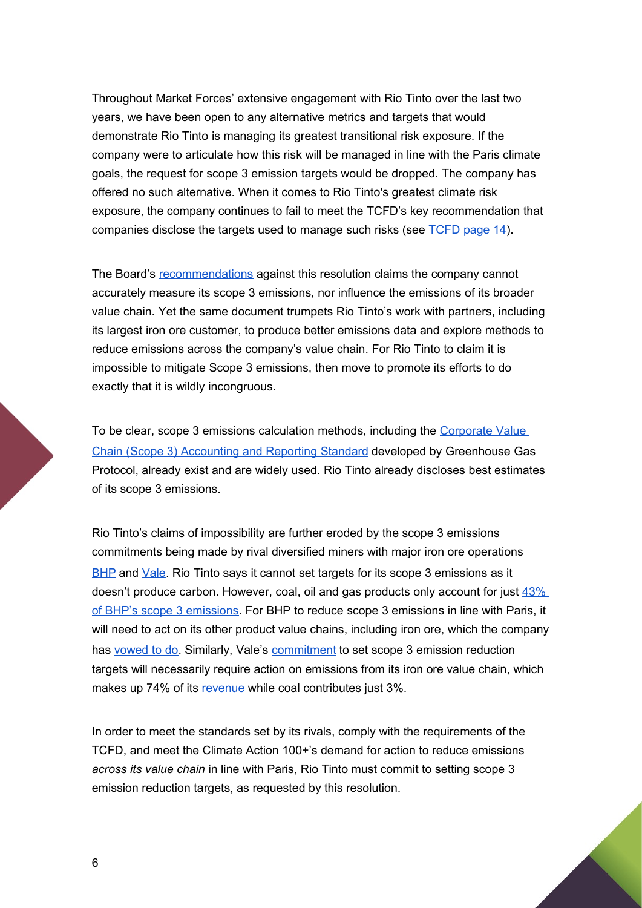Throughout Market Forces' extensive engagement with Rio Tinto over the last two years, we have been open to any alternative metrics and targets that would demonstrate Rio Tinto is managing its greatest transitional risk exposure. If the company were to articulate how this risk will be managed in line with the Paris climate goals, the request for scope 3 emission targets would be dropped. The company has offered no such alternative. When it comes to Rio Tinto's greatest climate risk exposure, the company continues to fail to meet the TCFD's key recommendation that companies disclose the targets used to manage such risks (see [TCFD page 14\)](https://www.fsb-tcfd.org/wp-content/uploads/2017/06/FINAL-2017-TCFD-Report-11052018.pdf).

The Board's [recommendations](https://www.asx.com.au/asxpdf/20200325/pdf/44gd90bznxp0g3.pdf) against this resolution claims the company cannot accurately measure its scope 3 emissions, nor influence the emissions of its broader value chain. Yet the same document trumpets Rio Tinto's work with partners, including its largest iron ore customer, to produce better emissions data and explore methods to reduce emissions across the company's value chain. For Rio Tinto to claim it is impossible to mitigate Scope 3 emissions, then move to promote its efforts to do exactly that it is wildly incongruous.

To be clear, scope 3 emissions calculation methods, including the [Corporate Value](https://ghgprotocol.org/standards/scope-3-standard)  [Chain \(Scope 3\) Accounting and Reporting Standard](https://ghgprotocol.org/standards/scope-3-standard) developed by Greenhouse Gas Protocol, already exist and are widely used. Rio Tinto already discloses best estimates of its scope 3 emissions.

Rio Tinto's claims of impossibility are further eroded by the scope 3 emissions commitments being made by rival diversified miners with major iron ore operations [BHP](https://www.bhp.com/media-and-insights/reports-and-presentations/2019/07/evolving-our-approach-to-climate-change/) and [Vale.](http://www.vale.com/esg/en/Pages/ClimateChange.aspx) Rio Tinto says it cannot set targets for its scope 3 emissions as it doesn't produce carbon. However, coal, oil and gas products only account for just  $43\%$ [of BHP's scope 3 emissions](https://www.bhp.com/-/media/documents/investors/annual-reports/2019/bhpscope3emissionscalculationmethodology2019.pdf?la=en). For BHP to reduce scope 3 emissions in line with Paris, it will need to act on its other product value chains, including iron ore, which the company has [vowed to do](https://www.afr.com/companies/energy/bhp-pushes-ahead-on-scope-3-despite-accounting-overlap-20190917-p52s16). Similarly, Vale's [commitment](http://www.vale.com/esg/en/Pages/ClimateChange.aspx) to set scope 3 emission reduction targets will necessarily require action on emissions from its iron ore value chain, which makes up 74% of its [revenue](http://www.vale.com/EN/investors/information-market/annual-reports/20f/20FDocs/Vale_20-F%20FY2018%20-%20final_i.pdf) while coal contributes just 3%.

In order to meet the standards set by its rivals, comply with the requirements of the TCFD, and meet the Climate Action 100+'s demand for action to reduce emissions *across its value chain* in line with Paris, Rio Tinto must commit to setting scope 3 emission reduction targets, as requested by this resolution.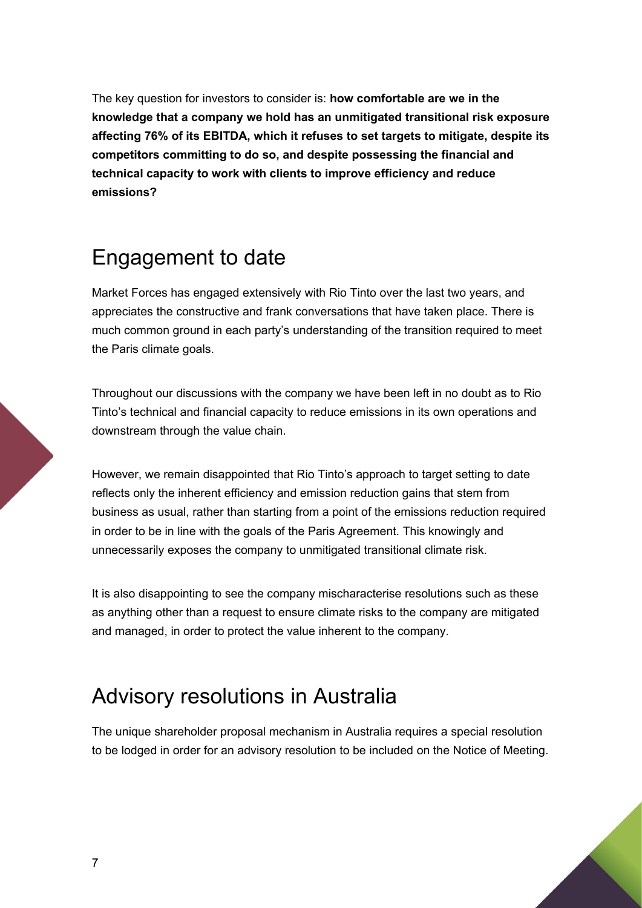The key question for investors to consider is: **how comfortable are we in the knowledge that a company we hold has an unmitigated transitional risk exposure affecting 76% of its EBITDA, which it refuses to set targets to mitigate, despite its competitors committing to do so, and despite possessing the financial and technical capacity to work with clients to improve efficiency and reduce emissions?**

### <span id="page-6-1"></span>Engagement to date

Market Forces has engaged extensively with Rio Tinto over the last two years, and appreciates the constructive and frank conversations that have taken place. There is much common ground in each party's understanding of the transition required to meet the Paris climate goals.

Throughout our discussions with the company we have been left in no doubt as to Rio Tinto's technical and financial capacity to reduce emissions in its own operations and downstream through the value chain.

However, we remain disappointed that Rio Tinto's approach to target setting to date reflects only the inherent efficiency and emission reduction gains that stem from business as usual, rather than starting from a point of the emissions reduction required in order to be in line with the goals of the Paris Agreement. This knowingly and unnecessarily exposes the company to unmitigated transitional climate risk.

It is also disappointing to see the company mischaracterise resolutions such as these as anything other than a request to ensure climate risks to the company are mitigated and managed, in order to protect the value inherent to the company.

### <span id="page-6-0"></span>Advisory resolutions in Australia

The unique shareholder proposal mechanism in Australia requires a special resolution to be lodged in order for an advisory resolution to be included on the Notice of Meeting.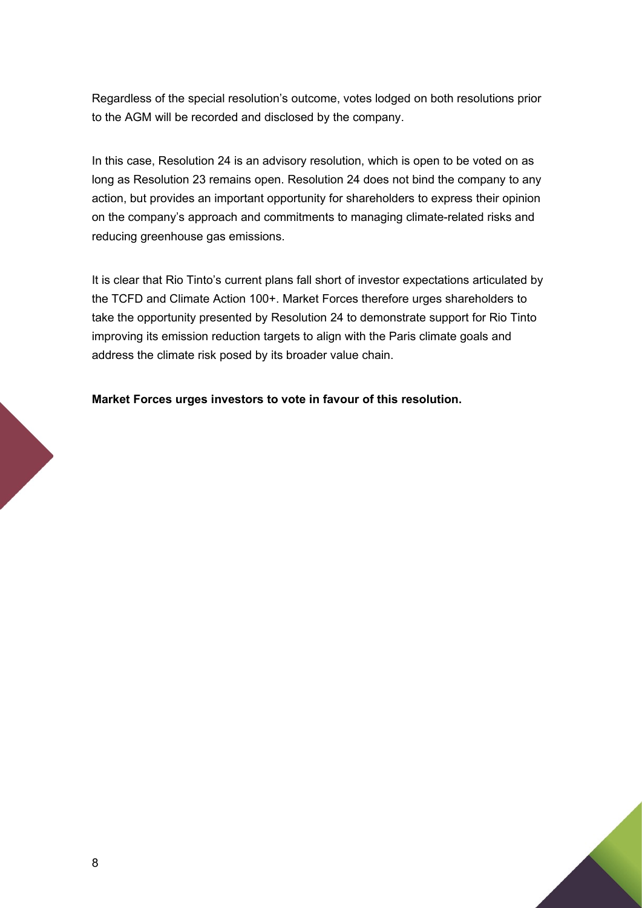Regardless of the special resolution's outcome, votes lodged on both resolutions prior to the AGM will be recorded and disclosed by the company.

In this case, Resolution 24 is an advisory resolution, which is open to be voted on as long as Resolution 23 remains open. Resolution 24 does not bind the company to any action, but provides an important opportunity for shareholders to express their opinion on the company's approach and commitments to managing climate-related risks and reducing greenhouse gas emissions.

It is clear that Rio Tinto's current plans fall short of investor expectations articulated by the TCFD and Climate Action 100+. Market Forces therefore urges shareholders to take the opportunity presented by Resolution 24 to demonstrate support for Rio Tinto improving its emission reduction targets to align with the Paris climate goals and address the climate risk posed by its broader value chain.

**Market Forces urges investors to vote in favour of this resolution.**

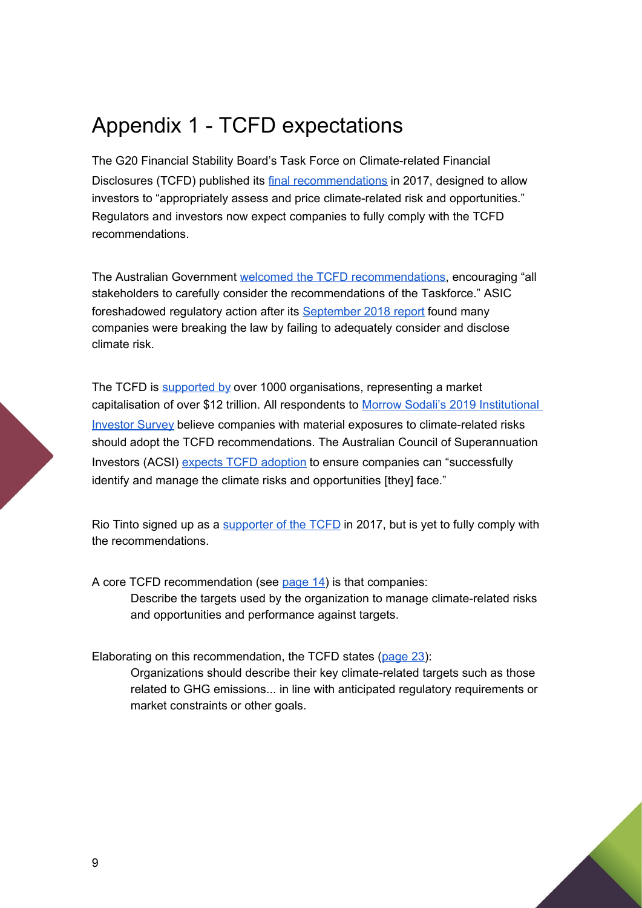### <span id="page-8-0"></span>Appendix 1 - TCFD expectations

The G20 Financial Stability Board's Task Force on Climate-related Financial Disclosures (TCFD) published its [final recommendations](https://www.fsb-tcfd.org/publications/final-recommendations-report/) in 2017, designed to allow investors to "appropriately assess and price climate-related risk and opportunities." Regulators and investors now expect companies to fully comply with the TCFD recommendations.

The Australian Government [welcomed the TCFD recommendations](https://www.aph.gov.au/Parliamentary_Business/Committees/Senate/Economics/Carbonriskdisclosure45/Government_Response), encouraging "all stakeholders to carefully consider the recommendations of the Taskforce." ASIC foreshadowed regulatory action after its [September 2018 report](https://download.asic.gov.au/media/4871341/rep593-published-20-september-2018.pdf) found many companies were breaking the law by failing to adequately consider and disclose climate risk.

The TCFD is [supported by](https://www.fsb-tcfd.org/tcfd-supporters/) over 1000 organisations, representing a market capitalisation of over \$12 trillion. All respondents to [Morrow Sodali's 2019 Institutional](https://www.morrowsodali.com/news/institutional-investor-survey-2019)  [Investor Survey](https://www.morrowsodali.com/news/institutional-investor-survey-2019) believe companies with material exposures to climate-related risks should adopt the TCFD recommendations. The Australian Council of Superannuation Investors (ACSI) [expects TCFD adoption](https://www.acsi.org.au/images/stories/ACSIDocuments/ACSI-Governance-Guidelines.Nov17.pdf) to ensure companies can "successfully identify and manage the climate risks and opportunities [they] face."

Rio Tinto signed up as a [supporter of the TCFD](https://www.riotinto.com/en/sustainability/climate-change) in 2017, but is yet to fully comply with the recommendations.

A core TCFD recommendation (see [page 14\)](https://www.fsb-tcfd.org/wp-content/uploads/2017/06/FINAL-2017-TCFD-Report-11052018.pdf) is that companies: Describe the targets used by the organization to manage climate-related risks and opportunities and performance against targets.

Elaborating on this recommendation, the TCFD states [\(page 23\)](https://www.fsb-tcfd.org/wp-content/uploads/2017/06/FINAL-2017-TCFD-Report-11052018.pdf):

Organizations should describe their key climate-related targets such as those related to GHG emissions... in line with anticipated regulatory requirements or market constraints or other goals.